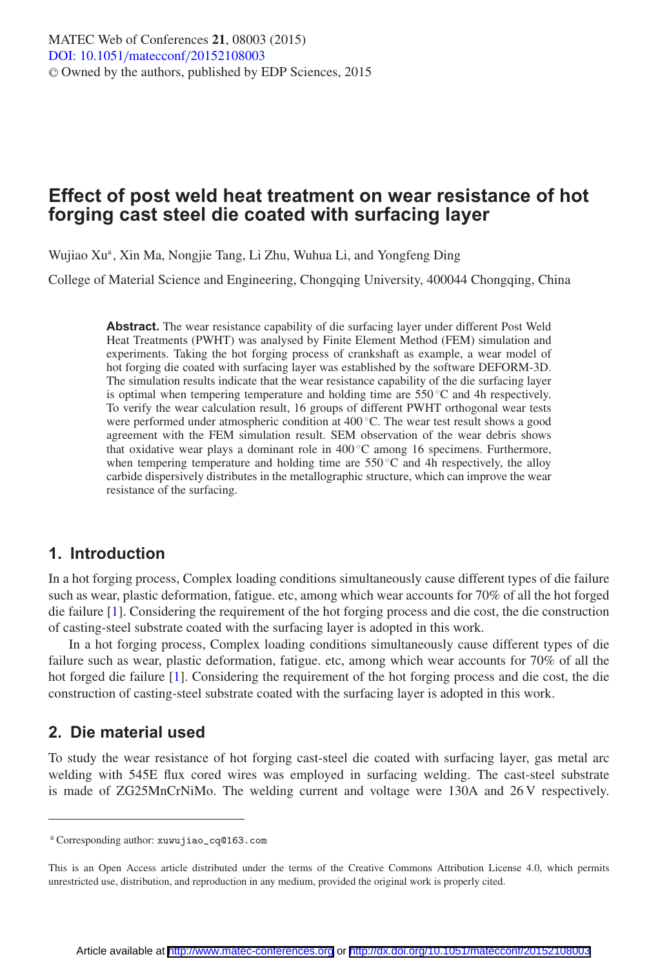# **Effect of post weld heat treatment on wear resistance of hot forging cast steel die coated with surfacing layer**

Wujiao Xu<sup>a</sup>, Xin Ma, Nongjie Tang, Li Zhu, Wuhua Li, and Yongfeng Ding

College of Material Science and Engineering, Chongqing University, 400044 Chongqing, China

**Abstract.** The wear resistance capability of die surfacing layer under different Post Weld Heat Treatments (PWHT) was analysed by Finite Element Method (FEM) simulation and experiments. Taking the hot forging process of crankshaft as example, a wear model of hot forging die coated with surfacing layer was established by the software DEFORM-3D. The simulation results indicate that the wear resistance capability of the die surfacing layer is optimal when tempering temperature and holding time are  $550\,^{\circ}\text{C}$  and 4h respectively. To verify the wear calculation result, 16 groups of different PWHT orthogonal wear tests were performed under atmospheric condition at 400 ◦C. The wear test result shows a good agreement with the FEM simulation result. SEM observation of the wear debris shows that oxidative wear plays a dominant role in  $400\degree C$  among 16 specimens. Furthermore, when tempering temperature and holding time are  $550^{\circ}$ C and 4h respectively, the alloy carbide dispersively distributes in the metallographic structure, which can improve the wear resistance of the surfacing.

## **1. Introduction**

In a hot forging process, Complex loading conditions simultaneously cause different types of die failure such as wear, plastic deformation, fatigue. etc, among which wear accounts for 70% of all the hot forged die failure [\[1\]](#page-4-0). Considering the requirement of the hot forging process and die cost, the die construction of casting-steel substrate coated with the surfacing layer is adopted in this work.

In a hot forging process, Complex loading conditions simultaneously cause different types of die failure such as wear, plastic deformation, fatigue. etc, among which wear accounts for 70% of all the hot forged die failure [\[1](#page-4-0)]. Considering the requirement of the hot forging process and die cost, the die construction of casting-steel substrate coated with the surfacing layer is adopted in this work.

# **2. Die material used**

To study the wear resistance of hot forging cast-steel die coated with surfacing layer, gas metal arc welding with 545E flux cored wires was employed in surfacing welding. The cast-steel substrate is made of ZG25MnCrNiMo. The welding current and voltage were 130A and 26 V respectively.

<sup>a</sup> Corresponding author: xuwujiao\_cq@163.com

This is an Open Access article distributed under the terms of the Creative Commons Attribution License 4.0, which permits unrestricted use, distribution, and reproduction in any medium, provided the original work is properly cited.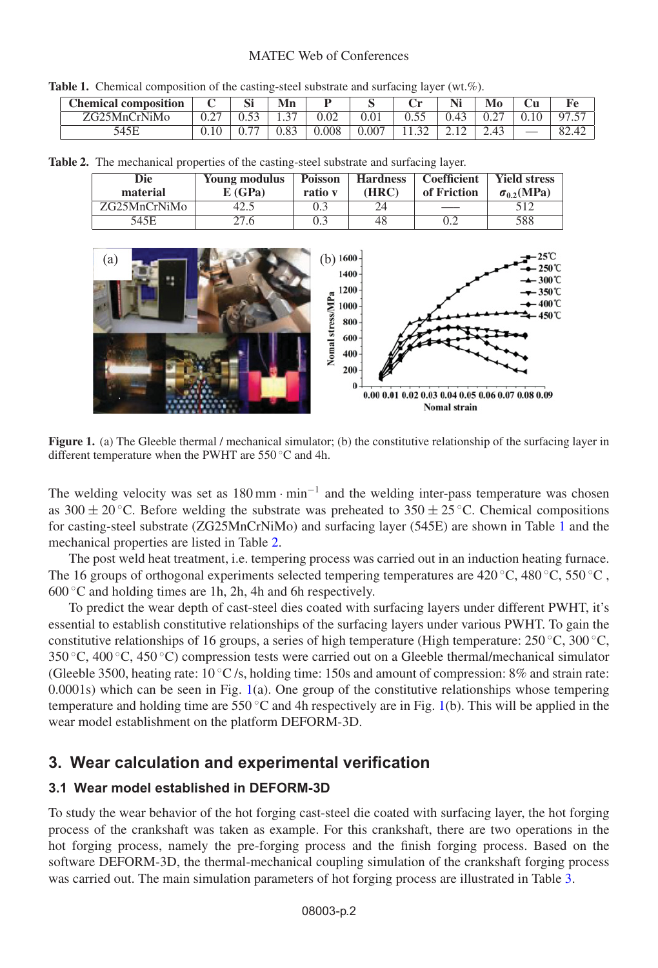## MATEC Web of Conferences

<span id="page-1-0"></span>**Table 1.** Chemical composition of the casting-steel substrate and surfacing layer (wt.%).

| <b>Chemical composition</b> |                | IJΙ                      | Mn             |       |       | ັ    |               |     | Сu   | Fe.      |
|-----------------------------|----------------|--------------------------|----------------|-------|-------|------|---------------|-----|------|----------|
| ZG25MnCrNiMo                | $\cap$<br>U.Z. | $\sim$                   | $\sim$<br>ر. د | 0.02  | 0.01  | $ -$ | 0.43          | U.Z | 0.10 | 57<br>07 |
|                             | v. I v         | $\overline{\phantom{a}}$ | 0.83           | 0.008 | 0.007 |      | <u>_. . _</u> |     |      | 82.42    |

<span id="page-1-1"></span>

|  | <b>Table 2.</b> The mechanical properties of the casting-steel substrate and surfacing layer. |  |  |
|--|-----------------------------------------------------------------------------------------------|--|--|
|  |                                                                                               |  |  |

| Die<br>material | Young modulus<br>E(GPa) | <b>Poisson</b><br>ratio v | <b>Hardness</b><br>(HRC) | Coefficient<br>of Friction | <b>Yield stress</b><br>$\sigma_{0.2}(\text{MPa})$ |
|-----------------|-------------------------|---------------------------|--------------------------|----------------------------|---------------------------------------------------|
| ZG25MnCrNiMo    | 42.5                    | 0.3                       | 24                       |                            |                                                   |
| 545E            | 27.6                    | 0.3                       | 48                       |                            | 588                                               |

<span id="page-1-2"></span>

**Figure 1.** (a) The Gleeble thermal / mechanical simulator; (b) the constitutive relationship of the surfacing layer in different temperature when the PWHT are 550 ◦C and 4h.

The welding velocity was set as  $180 \text{ mm} \cdot \text{min}^{-1}$  and the welding inter-pass temperature was chosen as 300  $\pm$  20 °C. Before welding the substrate was preheated to 350  $\pm$  25 °C. Chemical compositions for casting-steel substrate (ZG25MnCrNiMo) and surfacing layer (545E) are shown in Table [1](#page-1-0) and the mechanical properties are listed in Table [2.](#page-1-1)

The post weld heat treatment, i.e. tempering process was carried out in an induction heating furnace. The 16 groups of orthogonal experiments selected tempering temperatures are 420 °C, 480 °C, 550 °C,  $600\degree$ C and holding times are 1h, 2h, 4h and 6h respectively.

To predict the wear depth of cast-steel dies coated with surfacing layers under different PWHT, it's essential to establish constitutive relationships of the surfacing layers under various PWHT. To gain the constitutive relationships of 16 groups, a series of high temperature (High temperature:  $250 °C$ ,  $300 °C$ , 350 ◦C, 400 ◦C, 450 ◦C) compression tests were carried out on a Gleeble thermal/mechanical simulator (Gleeble 3500, heating rate:  $10\degree C$  /s, holding time: 150s and amount of compression: 8% and strain rate:  $0.0001$ s) which can be seen in Fig.  $1(a)$  $1(a)$ . One group of the constitutive relationships whose tempering temperature and holding time are  $550^{\circ}$ C and 4h respectively are in Fig. [1\(](#page-1-2)b). This will be applied in the wear model establishment on the platform DEFORM-3D.

# **3. Wear calculation and experimental verification**

## **3.1 Wear model established in DEFORM-3D**

To study the wear behavior of the hot forging cast-steel die coated with surfacing layer, the hot forging process of the crankshaft was taken as example. For this crankshaft, there are two operations in the hot forging process, namely the pre-forging process and the finish forging process. Based on the software DEFORM-3D, the thermal-mechanical coupling simulation of the crankshaft forging process was carried out. The main simulation parameters of hot forging process are illustrated in Table [3.](#page-2-0)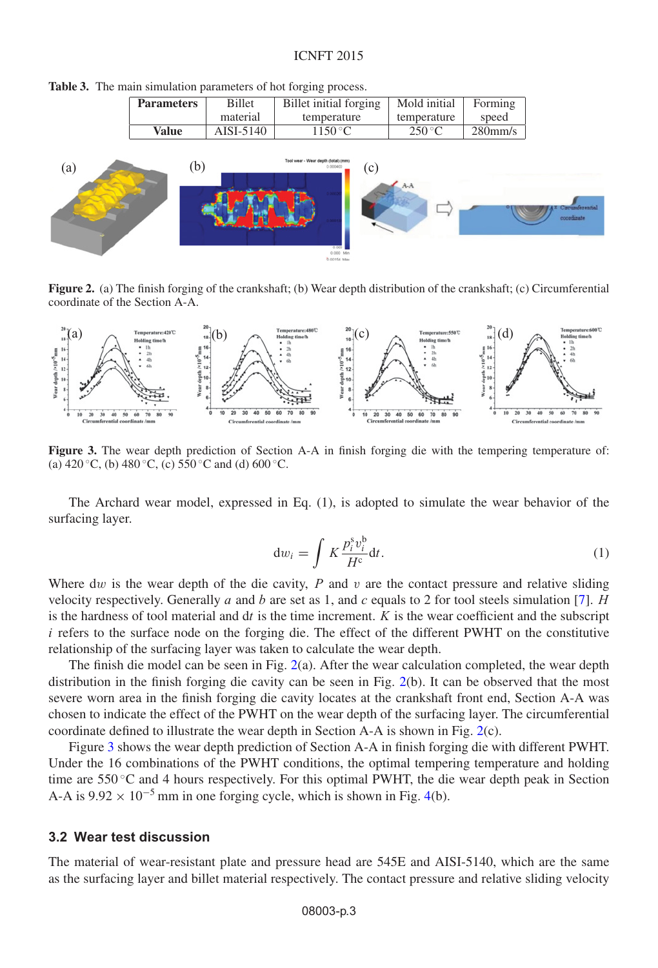#### ICNFT 2015

<span id="page-2-0"></span>

|  |  |  | Table 3. The main simulation parameters of hot forging process. |  |  |  |
|--|--|--|-----------------------------------------------------------------|--|--|--|
|--|--|--|-----------------------------------------------------------------|--|--|--|

| <b>Billet</b><br><b>Parameters</b> |  | Billet initial forging     | Mold initial    | Forming    |  |
|------------------------------------|--|----------------------------|-----------------|------------|--|
| material                           |  | temperature                | temperature     | speed      |  |
| Value<br>AISI-5140                 |  | $1150\,^{\circ}\mathrm{C}$ | $250^{\circ}$ C | $280$ mm/s |  |

<span id="page-2-1"></span>

**Figure 2.** (a) The finish forging of the crankshaft; (b) Wear depth distribution of the crankshaft; (c) Circumferential coordinate of the Section A-A.

<span id="page-2-2"></span>

**Figure 3.** The wear depth prediction of Section A-A in finish forging die with the tempering temperature of: (a)  $420 °C$ , (b)  $480 °C$ , (c)  $550 °C$  and (d)  $600 °C$ .

The Archard wear model, expressed in Eq. (1), is adopted to simulate the wear behavior of the surfacing layer.

$$
dw_i = \int K \frac{p_i^s v_i^b}{H^c} dt.
$$
 (1)

Where dw is the wear depth of the die cavity,  $P$  and  $v$  are the contact pressure and relative sliding velocity respectively. Generally a and b are set as 1, and c equals to 2 for tool steels simulation [\[7\]](#page-5-0). H is the hardness of tool material and  $dt$  is the time increment.  $K$  is the wear coefficient and the subscript  $i$  refers to the surface node on the forging die. The effect of the different PWHT on the constitutive relationship of the surfacing layer was taken to calculate the wear depth.

The finish die model can be seen in Fig. [2\(](#page-2-1)a). After the wear calculation completed, the wear depth distribution in the finish forging die cavity can be seen in Fig. [2\(](#page-2-1)b). It can be observed that the most severe worn area in the finish forging die cavity locates at the crankshaft front end, Section A-A was chosen to indicate the effect of the PWHT on the wear depth of the surfacing layer. The circumferential coordinate defined to illustrate the wear depth in Section A-A is shown in Fig. [2\(](#page-2-1)c).

Figure [3](#page-2-2) shows the wear depth prediction of Section A-A in finish forging die with different PWHT. Under the 16 combinations of the PWHT conditions, the optimal tempering temperature and holding time are  $550^{\circ}$ C and 4 hours respectively. For this optimal PWHT, the die wear depth peak in Section A-A is  $9.92 \times 10^{-5}$  mm in one forging cycle, which is shown in Fig. [4\(](#page-3-0)b).

#### **3.2 Wear test discussion**

The material of wear-resistant plate and pressure head are 545E and AISI-5140, which are the same as the surfacing layer and billet material respectively. The contact pressure and relative sliding velocity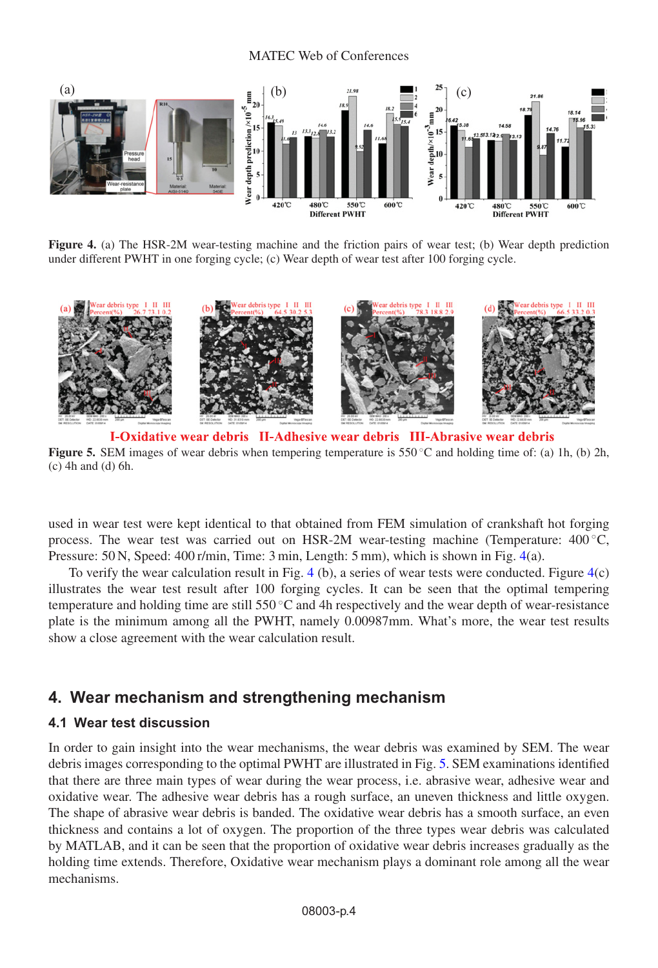#### MATEC Web of Conferences

<span id="page-3-0"></span>

**Figure 4.** (a) The HSR-2M wear-testing machine and the friction pairs of wear test; (b) Wear depth prediction under different PWHT in one forging cycle; (c) Wear depth of wear test after 100 forging cycle.

<span id="page-3-1"></span>

I-Oxidative wear debris II-Adhesive wear debris III-Abrasive wear debris **Figure 5.** SEM images of wear debris when tempering temperature is 550 ℃ and holding time of: (a) 1h, (b) 2h, (c) 4h and (d) 6h.

used in wear test were kept identical to that obtained from FEM simulation of crankshaft hot forging process. The wear test was carried out on HSR-2M wear-testing machine (Temperature:  $400^{\circ}$ C, Pressure: 50 N, Speed: 400 r/min, Time: 3 min, Length: 5 mm), which is shown in Fig. [4\(](#page-3-0)a).

To verify the wear calculation result in Fig. [4](#page-3-0) (b), a series of wear tests were conducted. Figure [4\(](#page-3-0)c) illustrates the wear test result after 100 forging cycles. It can be seen that the optimal tempering temperature and holding time are still 550 $\degree$ C and 4h respectively and the wear depth of wear-resistance plate is the minimum among all the PWHT, namely 0.00987mm. What's more, the wear test results show a close agreement with the wear calculation result.

# **4. Wear mechanism and strengthening mechanism**

### **4.1 Wear test discussion**

In order to gain insight into the wear mechanisms, the wear debris was examined by SEM. The wear debris images corresponding to the optimal PWHT are illustrated in Fig. [5.](#page-3-1) SEM examinations identified that there are three main types of wear during the wear process, i.e. abrasive wear, adhesive wear and oxidative wear. The adhesive wear debris has a rough surface, an uneven thickness and little oxygen. The shape of abrasive wear debris is banded. The oxidative wear debris has a smooth surface, an even thickness and contains a lot of oxygen. The proportion of the three types wear debris was calculated by MATLAB, and it can be seen that the proportion of oxidative wear debris increases gradually as the holding time extends. Therefore, Oxidative wear mechanism plays a dominant role among all the wear mechanisms.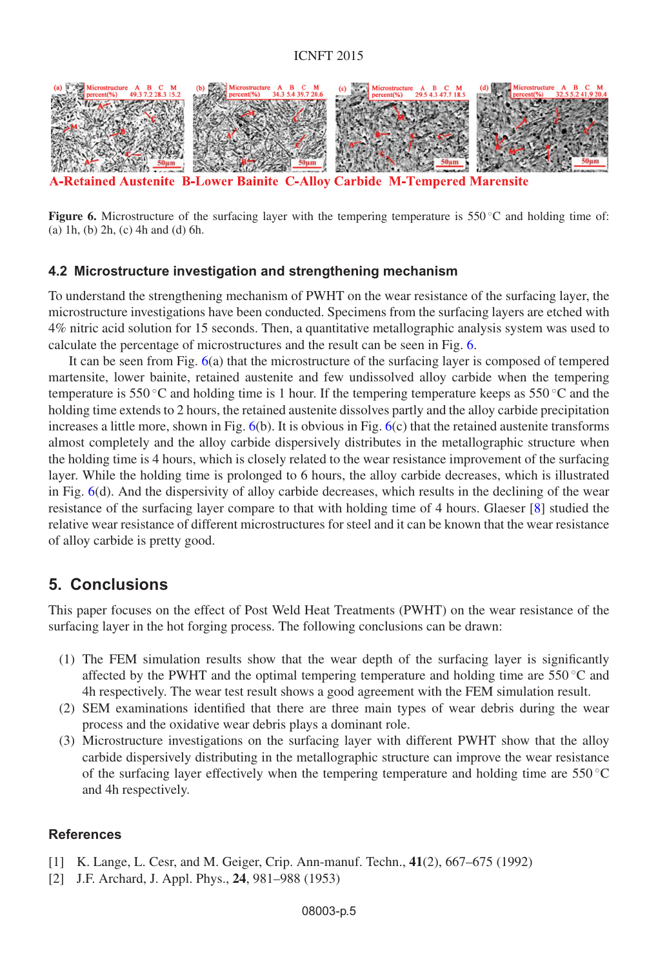<span id="page-4-1"></span>

**Retained Austenite B-Lower Bainite C-Alloy Carbide M-Tempered Marensite** 

**Figure 6.** Microstructure of the surfacing layer with the tempering temperature is 550 °C and holding time of: (a) 1h, (b) 2h, (c) 4h and (d) 6h.

#### **4.2 Microstructure investigation and strengthening mechanism**

To understand the strengthening mechanism of PWHT on the wear resistance of the surfacing layer, the microstructure investigations have been conducted. Specimens from the surfacing layers are etched with 4% nitric acid solution for 15 seconds. Then, a quantitative metallographic analysis system was used to calculate the percentage of microstructures and the result can be seen in Fig. [6.](#page-4-1)

It can be seen from Fig. [6\(](#page-4-1)a) that the microstructure of the surfacing layer is composed of tempered martensite, lower bainite, retained austenite and few undissolved alloy carbide when the tempering temperature is 550 °C and holding time is 1 hour. If the tempering temperature keeps as 550 °C and the holding time extends to 2 hours, the retained austenite dissolves partly and the alloy carbide precipitation increases a little more, shown in Fig.  $6(b)$  $6(b)$ . It is obvious in Fig.  $6(c)$  that the retained austenite transforms almost completely and the alloy carbide dispersively distributes in the metallographic structure when the holding time is 4 hours, which is closely related to the wear resistance improvement of the surfacing layer. While the holding time is prolonged to 6 hours, the alloy carbide decreases, which is illustrated in Fig. [6\(](#page-4-1)d). And the dispersivity of alloy carbide decreases, which results in the declining of the wear resistance of the surfacing layer compare to that with holding time of 4 hours. Glaeser [\[8](#page-5-1)] studied the relative wear resistance of different microstructures for steel and it can be known that the wear resistance of alloy carbide is pretty good.

## **5. Conclusions**

This paper focuses on the effect of Post Weld Heat Treatments (PWHT) on the wear resistance of the surfacing layer in the hot forging process. The following conclusions can be drawn:

- (1) The FEM simulation results show that the wear depth of the surfacing layer is significantly affected by the PWHT and the optimal tempering temperature and holding time are  $550\degree C$  and 4h respectively. The wear test result shows a good agreement with the FEM simulation result.
- (2) SEM examinations identified that there are three main types of wear debris during the wear process and the oxidative wear debris plays a dominant role.
- (3) Microstructure investigations on the surfacing layer with different PWHT show that the alloy carbide dispersively distributing in the metallographic structure can improve the wear resistance of the surfacing layer effectively when the tempering temperature and holding time are  $550^{\circ}$ C and 4h respectively.

## **References**

- <span id="page-4-0"></span>[1] K. Lange, L. Cesr, and M. Geiger, Crip. Ann-manuf. Techn., **41**(2), 667–675 (1992)
- [2] J.F. Archard, J. Appl. Phys., **24**, 981–988 (1953)